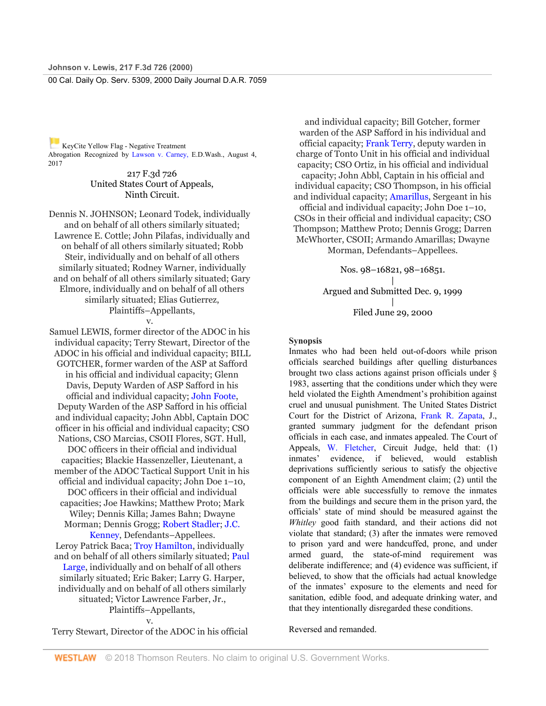KeyCite Yellow Flag - Negative Treatment Abrogation Recognized by Lawson v. Carney, E.D.Wash., August 4, 2017

> 217 F.3d 726 United States Court of Appeals, Ninth Circuit.

Dennis N. JOHNSON; Leonard Todek, individually and on behalf of all others similarly situated; Lawrence E. Cottle; John Pilafas, individually and on behalf of all others similarly situated; Robb Steir, individually and on behalf of all others similarly situated; Rodney Warner, individually and on behalf of all others similarly situated; Gary Elmore, individually and on behalf of all others similarly situated; Elias Gutierrez, Plaintiffs–Appellants,

v.

Samuel LEWIS, former director of the ADOC in his individual capacity; Terry Stewart, Director of the ADOC in his official and individual capacity; BILL GOTCHER, former warden of the ASP at Safford in his official and individual capacity; Glenn Davis, Deputy Warden of ASP Safford in his official and individual capacity; John Foote, Deputy Warden of the ASP Safford in his official and individual capacity; John Abbl, Captain DOC officer in his official and individual capacity; CSO Nations, CSO Marcias, CSOII Flores, SGT. Hull, DOC officers in their official and individual capacities; Blackie Hassenzeller, Lieutenant, a member of the ADOC Tactical Support Unit in his official and individual capacity; John Doe 1–10, DOC officers in their official and individual capacities; Joe Hawkins; Matthew Proto; Mark Wiley; Dennis Killa; James Bahn; Dwayne Morman; Dennis Grogg; Robert Stadler; J.C. Kenney, Defendants–Appellees. Leroy Patrick Baca; Troy Hamilton, individually and on behalf of all others similarly situated; Paul Large, individually and on behalf of all others similarly situated; Eric Baker; Larry G. Harper, individually and on behalf of all others similarly situated; Victor Lawrence Farber, Jr., Plaintiffs–Appellants, v.

Terry Stewart, Director of the ADOC in his official

and individual capacity; Bill Gotcher, former warden of the ASP Safford in his individual and official capacity; Frank Terry, deputy warden in charge of Tonto Unit in his official and individual capacity; CSO Ortiz, in his official and individual capacity; John Abbl, Captain in his official and individual capacity; CSO Thompson, in his official and individual capacity; Amarillus, Sergeant in his official and individual capacity; John Doe 1–10, CSOs in their official and individual capacity; CSO Thompson; Matthew Proto; Dennis Grogg; Darren McWhorter, CSOII; Armando Amarillas; Dwayne Morman, Defendants–Appellees.

> Nos. 98–16821, 98–16851. | Argued and Submitted Dec. 9, 1999 | Filed June 29, 2000

#### **Synopsis**

Inmates who had been held out-of-doors while prison officials searched buildings after quelling disturbances brought two class actions against prison officials under § 1983, asserting that the conditions under which they were held violated the Eighth Amendment's prohibition against cruel and unusual punishment. The United States District Court for the District of Arizona, Frank R. Zapata, J., granted summary judgment for the defendant prison officials in each case, and inmates appealed. The Court of Appeals, W. Fletcher, Circuit Judge, held that: (1) inmates' evidence, if believed, would establish deprivations sufficiently serious to satisfy the objective component of an Eighth Amendment claim; (2) until the officials were able successfully to remove the inmates from the buildings and secure them in the prison yard, the officials' state of mind should be measured against the *Whitley* good faith standard, and their actions did not violate that standard; (3) after the inmates were removed to prison yard and were handcuffed, prone, and under armed guard, the state-of-mind requirement was deliberate indifference; and (4) evidence was sufficient, if believed, to show that the officials had actual knowledge of the inmates' exposure to the elements and need for sanitation, edible food, and adequate drinking water, and that they intentionally disregarded these conditions.

Reversed and remanded.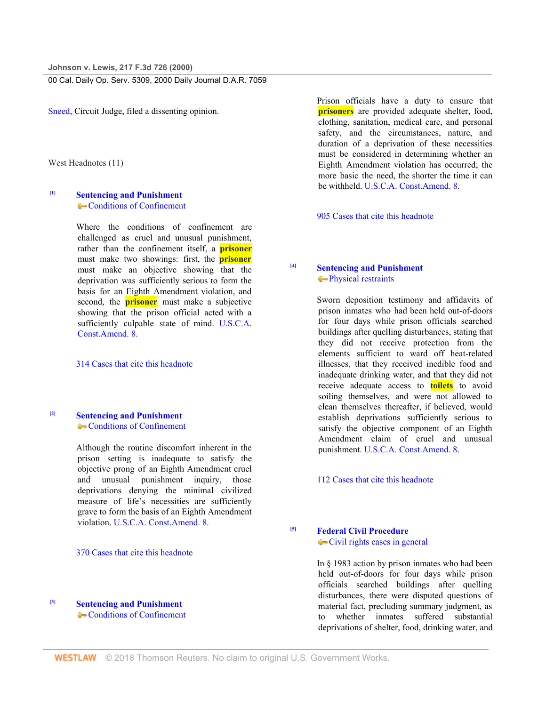Sneed, Circuit Judge, filed a dissenting opinion.

West Headnotes (11)

# <span id="page-1-0"></span>**[\[1\]](#page-5-0) Sentencing and Punishment** Conditions of Confinement

Where the conditions of confinement are challenged as cruel and unusual punishment, rather than the confinement itself, a **prisoner** must make two showings: first, the **prisoner** must make an objective showing that the deprivation was sufficiently serious to form the basis for an Eighth Amendment violation, and second, the **prisoner** must make a subjective showing that the prison official acted with a sufficiently culpable state of mind. U.S.C.A. Const.Amend. 8.

314 Cases that cite this headnote

### <span id="page-1-1"></span>**[\[2\]](#page-5-1) Sentencing and Punishment** Conditions of Confinement

Although the routine discomfort inherent in the prison setting is inadequate to satisfy the objective prong of an Eighth Amendment cruel and unusual punishment inquiry, those deprivations denying the minimal civilized measure of life's necessities are sufficiently grave to form the basis of an Eighth Amendment violation. U.S.C.A. Const.Amend. 8.

#### 370 Cases that cite this headnote

<span id="page-1-2"></span>**[\[3\]](#page-5-2) Sentencing and Punishment** Conditions of Confinement Prison officials have a duty to ensure that **prisoners** are provided adequate shelter, food, clothing, sanitation, medical care, and personal safety, and the circumstances, nature, and duration of a deprivation of these necessities must be considered in determining whether an Eighth Amendment violation has occurred; the more basic the need, the shorter the time it can be withheld. U.S.C.A. Const.Amend. 8.

905 Cases that cite this headnote

# <span id="page-1-3"></span>**[\[4\]](#page-6-0) Sentencing and Punishment Physical restraints**

Sworn deposition testimony and affidavits of prison inmates who had been held out-of-doors for four days while prison officials searched buildings after quelling disturbances, stating that they did not receive protection from the elements sufficient to ward off heat-related illnesses, that they received inedible food and inadequate drinking water, and that they did not receive adequate access to **toilets** to avoid soiling themselves, and were not allowed to clean themselves thereafter, if believed, would establish deprivations sufficiently serious to satisfy the objective component of an Eighth Amendment claim of cruel and unusual punishment. U.S.C.A. Const.Amend. 8.

112 Cases that cite this headnote

## <span id="page-1-4"></span>**[\[5\]](#page-6-1) Federal Civil Procedure** Civil rights cases in general

In § 1983 action by prison inmates who had been held out-of-doors for four days while prison officials searched buildings after quelling disturbances, there were disputed questions of material fact, precluding summary judgment, as to whether inmates suffered substantial deprivations of shelter, food, drinking water, and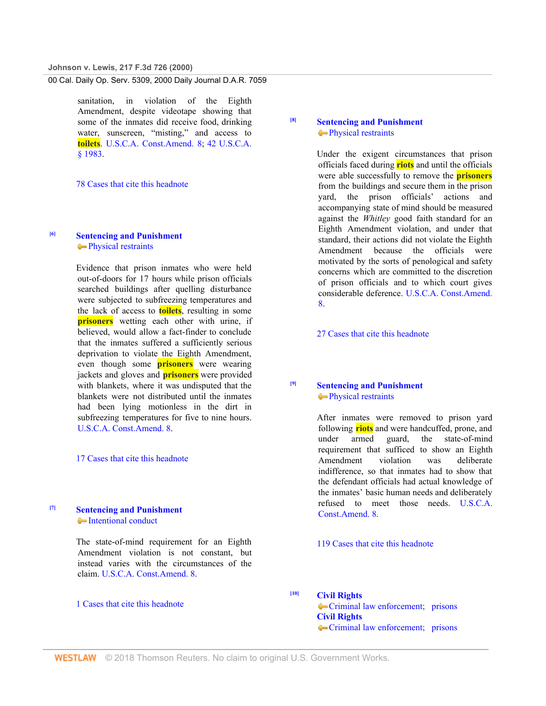sanitation, in violation of the Eighth Amendment, despite videotape showing that some of the inmates did receive food, drinking water, sunscreen, "misting," and access to **toilets**. U.S.C.A. Const.Amend. 8; 42 U.S.C.A. § 1983.

78 Cases that cite this headnote

## <span id="page-2-0"></span>**[\[6\]](#page-6-2) Sentencing and Punishment Physical restraints**

Evidence that prison inmates who were held out-of-doors for 17 hours while prison officials searched buildings after quelling disturbance were subjected to subfreezing temperatures and the lack of access to **toilets**, resulting in some **prisoners** wetting each other with urine, if believed, would allow a fact-finder to conclude that the inmates suffered a sufficiently serious deprivation to violate the Eighth Amendment, even though some **prisoners** were wearing jackets and gloves and **prisoners** were provided with blankets, where it was undisputed that the blankets were not distributed until the inmates had been lying motionless in the dirt in subfreezing temperatures for five to nine hours. U.S.C.A. Const.Amend. 8.

17 Cases that cite this headnote

### <span id="page-2-1"></span>**[\[7\]](#page-6-3) Sentencing and Punishment** • Intentional conduct

The state-of-mind requirement for an Eighth Amendment violation is not constant, but instead varies with the circumstances of the claim. U.S.C.A. Const.Amend. 8.

1 Cases that cite this headnote

### <span id="page-2-2"></span>**[\[8\]](#page-7-0) Sentencing and Punishment Physical restraints**

Under the exigent circumstances that prison officials faced during **riots** and until the officials were able successfully to remove the **prisoners** from the buildings and secure them in the prison yard, the prison officials' actions and accompanying state of mind should be measured against the *Whitley* good faith standard for an Eighth Amendment violation, and under that standard, their actions did not violate the Eighth Amendment because the officials were motivated by the sorts of penological and safety concerns which are committed to the discretion of prison officials and to which court gives considerable deference. U.S.C.A. Const.Amend. 8.

27 Cases that cite this headnote

# <span id="page-2-3"></span>**[\[9\]](#page-7-1) Sentencing and Punishment Physical restraints**

After inmates were removed to prison yard following **riots** and were handcuffed, prone, and under armed guard, the state-of-mind requirement that sufficed to show an Eighth Amendment violation was deliberate indifference, so that inmates had to show that the defendant officials had actual knowledge of the inmates' basic human needs and deliberately refused to meet those needs. U.S.C.A. Const.Amend. 8.

### 119 Cases that cite this headnote

<span id="page-2-4"></span>**[\[10\]](#page-7-2) Civil Rights**

Criminal law enforcement; prisons **Civil Rights** Criminal law enforcement; prisons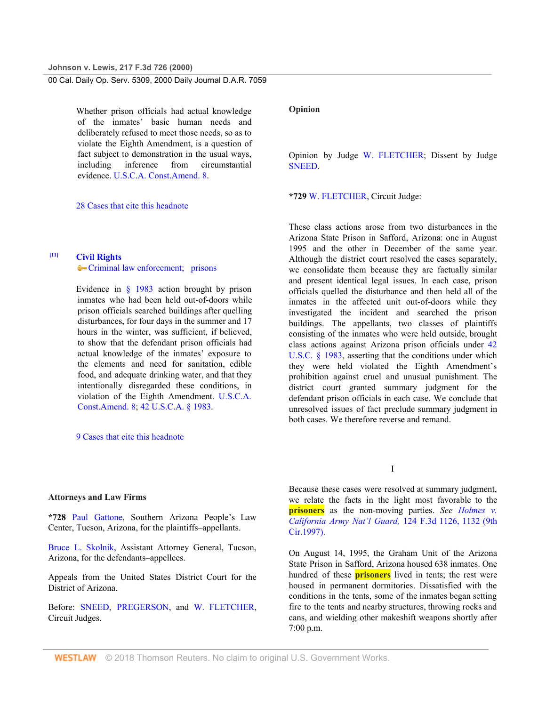Whether prison officials had actual knowledge of the inmates' basic human needs and deliberately refused to meet those needs, so as to violate the Eighth Amendment, is a question of fact subject to demonstration in the usual ways, including inference from circumstantial evidence. U.S.C.A. Const.Amend. 8.

28 Cases that cite this headnote

## <span id="page-3-0"></span>**[\[11\]](#page-8-0) Civil Rights**

Criminal law enforcement; prisons

Evidence in § 1983 action brought by prison inmates who had been held out-of-doors while prison officials searched buildings after quelling disturbances, for four days in the summer and 17 hours in the winter, was sufficient, if believed, to show that the defendant prison officials had actual knowledge of the inmates' exposure to the elements and need for sanitation, edible food, and adequate drinking water, and that they intentionally disregarded these conditions, in violation of the Eighth Amendment. U.S.C.A. Const.Amend. 8; 42 U.S.C.A. § 1983.

9 Cases that cite this headnote

#### **Attorneys and Law Firms**

**\*728** Paul Gattone, Southern Arizona People's Law Center, Tucson, Arizona, for the plaintiffs–appellants.

Bruce L. Skolnik, Assistant Attorney General, Tucson, Arizona, for the defendants–appellees.

Appeals from the United States District Court for the District of Arizona.

Before: SNEED, PREGERSON, and W. FLETCHER, Circuit Judges.

#### **Opinion**

Opinion by Judge W. FLETCHER; Dissent by Judge SNEED.

**\*729** W. FLETCHER, Circuit Judge:

These class actions arose from two disturbances in the Arizona State Prison in Safford, Arizona: one in August 1995 and the other in December of the same year. Although the district court resolved the cases separately, we consolidate them because they are factually similar and present identical legal issues. In each case, prison officials quelled the disturbance and then held all of the inmates in the affected unit out-of-doors while they investigated the incident and searched the prison buildings. The appellants, two classes of plaintiffs consisting of the inmates who were held outside, brought class actions against Arizona prison officials under 42 U.S.C. § 1983, asserting that the conditions under which they were held violated the Eighth Amendment's prohibition against cruel and unusual punishment. The district court granted summary judgment for the defendant prison officials in each case. We conclude that unresolved issues of fact preclude summary judgment in both cases. We therefore reverse and remand.

I

Because these cases were resolved at summary judgment, we relate the facts in the light most favorable to the **prisoners** as the non-moving parties. *See Holmes v. California Army Nat'l Guard,* 124 F.3d 1126, 1132 (9th Cir.1997).

On August 14, 1995, the Graham Unit of the Arizona State Prison in Safford, Arizona housed 638 inmates. One hundred of these **prisoners** lived in tents; the rest were housed in permanent dormitories. Dissatisfied with the conditions in the tents, some of the inmates began setting fire to the tents and nearby structures, throwing rocks and cans, and wielding other makeshift weapons shortly after 7:00 p.m.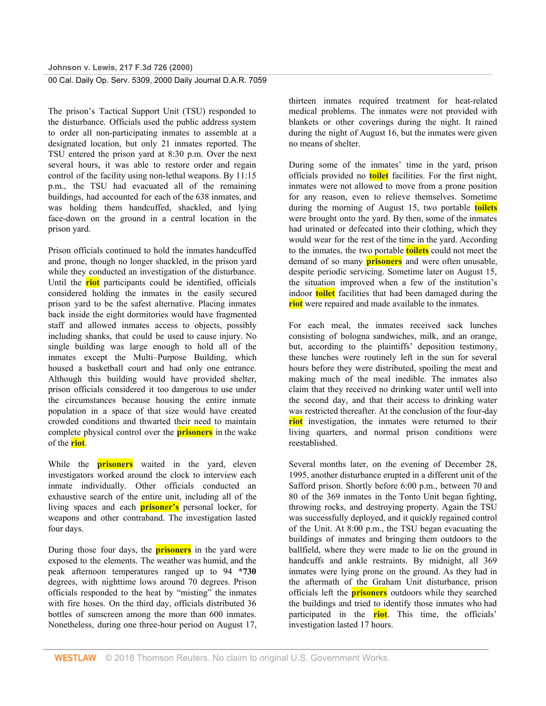The prison's Tactical Support Unit (TSU) responded to the disturbance. Officials used the public address system to order all non-participating inmates to assemble at a designated location, but only 21 inmates reported. The TSU entered the prison yard at 8:30 p.m. Over the next several hours, it was able to restore order and regain control of the facility using non-lethal weapons. By 11:15 p.m., the TSU had evacuated all of the remaining buildings, had accounted for each of the 638 inmates, and was holding them handcuffed, shackled, and lying face-down on the ground in a central location in the prison yard.

Prison officials continued to hold the inmates handcuffed and prone, though no longer shackled, in the prison yard while they conducted an investigation of the disturbance. Until the **riot** participants could be identified, officials considered holding the inmates in the easily secured prison yard to be the safest alternative. Placing inmates back inside the eight dormitories would have fragmented staff and allowed inmates access to objects, possibly including shanks, that could be used to cause injury. No single building was large enough to hold all of the inmates except the Multi–Purpose Building, which housed a basketball court and had only one entrance. Although this building would have provided shelter, prison officials considered it too dangerous to use under the circumstances because housing the entire inmate population in a space of that size would have created crowded conditions and thwarted their need to maintain complete physical control over the **prisoners** in the wake of the **riot**.

While the **prisoners** waited in the yard, eleven investigators worked around the clock to interview each inmate individually. Other officials conducted an exhaustive search of the entire unit, including all of the living spaces and each **prisoner's** personal locker, for weapons and other contraband. The investigation lasted four days.

During those four days, the **prisoners** in the yard were exposed to the elements. The weather was humid, and the peak afternoon temperatures ranged up to 94 **\*730** degrees, with nighttime lows around 70 degrees. Prison officials responded to the heat by "misting" the inmates with fire hoses. On the third day, officials distributed 36 bottles of sunscreen among the more than 600 inmates. Nonetheless, during one three-hour period on August 17, thirteen inmates required treatment for heat-related medical problems. The inmates were not provided with blankets or other coverings during the night. It rained during the night of August 16, but the inmates were given no means of shelter.

During some of the inmates' time in the yard, prison officials provided no **toilet** facilities. For the first night, inmates were not allowed to move from a prone position for any reason, even to relieve themselves. Sometime during the morning of August 15, two portable **toilets** were brought onto the yard. By then, some of the inmates had urinated or defecated into their clothing, which they would wear for the rest of the time in the yard. According to the inmates, the two portable **toilets** could not meet the demand of so many **prisoners** and were often unusable, despite periodic servicing. Sometime later on August 15, the situation improved when a few of the institution's indoor **toilet** facilities that had been damaged during the **riot** were repaired and made available to the inmates.

For each meal, the inmates received sack lunches consisting of bologna sandwiches, milk, and an orange, but, according to the plaintiffs' deposition testimony, these lunches were routinely left in the sun for several hours before they were distributed, spoiling the meat and making much of the meal inedible. The inmates also claim that they received no drinking water until well into the second day, and that their access to drinking water was restricted thereafter. At the conclusion of the four-day **riot** investigation, the inmates were returned to their living quarters, and normal prison conditions were reestablished.

Several months later, on the evening of December 28, 1995, another disturbance erupted in a different unit of the Safford prison. Shortly before 6:00 p.m., between 70 and 80 of the 369 inmates in the Tonto Unit began fighting, throwing rocks, and destroying property. Again the TSU was successfully deployed, and it quickly regained control of the Unit. At 8:00 p.m., the TSU began evacuating the buildings of inmates and bringing them outdoors to the ballfield, where they were made to lie on the ground in handcuffs and ankle restraints. By midnight, all 369 inmates were lying prone on the ground. As they had in the aftermath of the Graham Unit disturbance, prison officials left the **prisoners** outdoors while they searched the buildings and tried to identify those inmates who had participated in the **riot**. This time, the officials' investigation lasted 17 hours.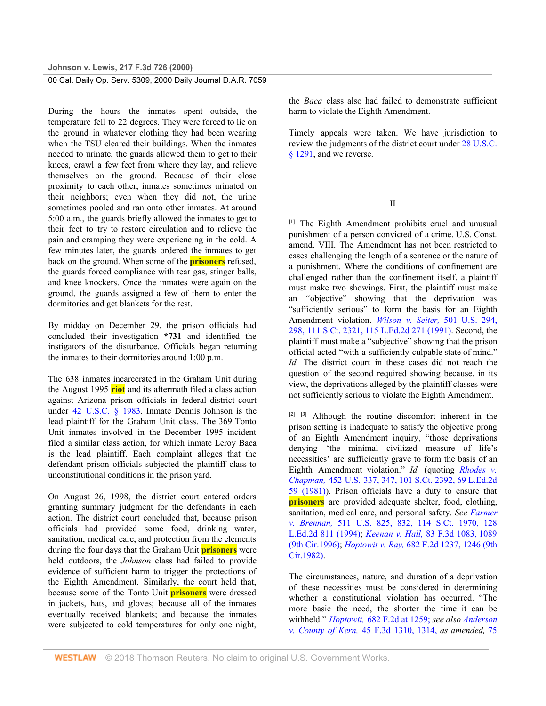During the hours the inmates spent outside, the temperature fell to 22 degrees. They were forced to lie on the ground in whatever clothing they had been wearing when the TSU cleared their buildings. When the inmates needed to urinate, the guards allowed them to get to their knees, crawl a few feet from where they lay, and relieve themselves on the ground. Because of their close proximity to each other, inmates sometimes urinated on their neighbors; even when they did not, the urine sometimes pooled and ran onto other inmates. At around 5:00 a.m., the guards briefly allowed the inmates to get to their feet to try to restore circulation and to relieve the pain and cramping they were experiencing in the cold. A few minutes later, the guards ordered the inmates to get back on the ground. When some of the **prisoners** refused, the guards forced compliance with tear gas, stinger balls, and knee knockers. Once the inmates were again on the ground, the guards assigned a few of them to enter the dormitories and get blankets for the rest.

By midday on December 29, the prison officials had concluded their investigation **\*731** and identified the instigators of the disturbance. Officials began returning the inmates to their dormitories around 1:00 p.m.

The 638 inmates incarcerated in the Graham Unit during the August 1995 **riot** and its aftermath filed a class action against Arizona prison officials in federal district court under 42 U.S.C. § 1983. Inmate Dennis Johnson is the lead plaintiff for the Graham Unit class. The 369 Tonto Unit inmates involved in the December 1995 incident filed a similar class action, for which inmate Leroy Baca is the lead plaintiff. Each complaint alleges that the defendant prison officials subjected the plaintiff class to unconstitutional conditions in the prison yard.

On August 26, 1998, the district court entered orders granting summary judgment for the defendants in each action. The district court concluded that, because prison officials had provided some food, drinking water, sanitation, medical care, and protection from the elements during the four days that the Graham Unit **prisoners** were held outdoors, the *Johnson* class had failed to provide evidence of sufficient harm to trigger the protections of the Eighth Amendment. Similarly, the court held that, because some of the Tonto Unit **prisoners** were dressed in jackets, hats, and gloves; because all of the inmates eventually received blankets; and because the inmates were subjected to cold temperatures for only one night,

the *Baca* class also had failed to demonstrate sufficient harm to violate the Eighth Amendment.

Timely appeals were taken. We have jurisdiction to review the judgments of the district court under 28 U.S.C. § 1291, and we reverse.

II

<span id="page-5-0"></span>**[\[1\]](#page-1-0)** The Eighth Amendment prohibits cruel and unusual punishment of a person convicted of a crime. U.S. Const. amend. VIII. The Amendment has not been restricted to cases challenging the length of a sentence or the nature of a punishment. Where the conditions of confinement are challenged rather than the confinement itself, a plaintiff must make two showings. First, the plaintiff must make an "objective" showing that the deprivation was "sufficiently serious" to form the basis for an Eighth Amendment violation. *Wilson v. Seiter,* 501 U.S. 294, 298, 111 S.Ct. 2321, 115 L.Ed.2d 271 (1991). Second, the plaintiff must make a "subjective" showing that the prison official acted "with a sufficiently culpable state of mind." *Id.* The district court in these cases did not reach the question of the second required showing because, in its view, the deprivations alleged by the plaintiff classes were not sufficiently serious to violate the Eighth Amendment.

<span id="page-5-2"></span><span id="page-5-1"></span>**[\[2\]](#page-1-1) [\[3\]](#page-1-2)** Although the routine discomfort inherent in the prison setting is inadequate to satisfy the objective prong of an Eighth Amendment inquiry, "those deprivations denying 'the minimal civilized measure of life's necessities' are sufficiently grave to form the basis of an Eighth Amendment violation." *Id.* (quoting *Rhodes v. Chapman,* 452 U.S. 337, 347, 101 S.Ct. 2392, 69 L.Ed.2d 59 (1981)). Prison officials have a duty to ensure that **prisoners** are provided adequate shelter, food, clothing, sanitation, medical care, and personal safety. *See Farmer v. Brennan,* 511 U.S. 825, 832, 114 S.Ct. 1970, 128 L.Ed.2d 811 (1994); *Keenan v. Hall,* 83 F.3d 1083, 1089 (9th Cir.1996); *Hoptowit v. Ray,* 682 F.2d 1237, 1246 (9th Cir.1982).

The circumstances, nature, and duration of a deprivation of these necessities must be considered in determining whether a constitutional violation has occurred. "The more basic the need, the shorter the time it can be withheld." *Hoptowit,* 682 F.2d at 1259; *see also Anderson v. County of Kern,* 45 F.3d 1310, 1314, *as amended,* 75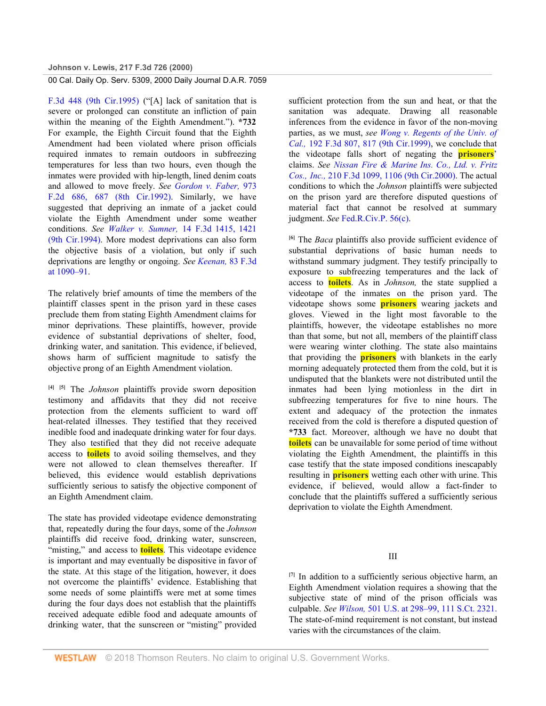F.3d 448 (9th Cir.1995) ("[A] lack of sanitation that is severe or prolonged can constitute an infliction of pain within the meaning of the Eighth Amendment."). **\*732** For example, the Eighth Circuit found that the Eighth Amendment had been violated where prison officials required inmates to remain outdoors in subfreezing temperatures for less than two hours, even though the inmates were provided with hip-length, lined denim coats and allowed to move freely. *See Gordon v. Faber,* 973 F.2d 686, 687 (8th Cir.1992). Similarly, we have suggested that depriving an inmate of a jacket could violate the Eighth Amendment under some weather conditions. *See Walker v. Sumner,* 14 F.3d 1415, 1421 (9th Cir.1994). More modest deprivations can also form the objective basis of a violation, but only if such deprivations are lengthy or ongoing. *See Keenan,* 83 F.3d at 1090–91.

The relatively brief amounts of time the members of the plaintiff classes spent in the prison yard in these cases preclude them from stating Eighth Amendment claims for minor deprivations. These plaintiffs, however, provide evidence of substantial deprivations of shelter, food, drinking water, and sanitation. This evidence, if believed, shows harm of sufficient magnitude to satisfy the objective prong of an Eighth Amendment violation.

<span id="page-6-1"></span><span id="page-6-0"></span>**[\[4\]](#page-1-3) [\[5\]](#page-1-4)** The *Johnson* plaintiffs provide sworn deposition testimony and affidavits that they did not receive protection from the elements sufficient to ward off heat-related illnesses. They testified that they received inedible food and inadequate drinking water for four days. They also testified that they did not receive adequate access to **toilets** to avoid soiling themselves, and they were not allowed to clean themselves thereafter. If believed, this evidence would establish deprivations sufficiently serious to satisfy the objective component of an Eighth Amendment claim.

The state has provided videotape evidence demonstrating that, repeatedly during the four days, some of the *Johnson* plaintiffs did receive food, drinking water, sunscreen, "misting," and access to **toilets**. This videotape evidence is important and may eventually be dispositive in favor of the state. At this stage of the litigation, however, it does not overcome the plaintiffs' evidence. Establishing that some needs of some plaintiffs were met at some times during the four days does not establish that the plaintiffs received adequate edible food and adequate amounts of drinking water, that the sunscreen or "misting" provided

sufficient protection from the sun and heat, or that the sanitation was adequate. Drawing all reasonable inferences from the evidence in favor of the non-moving parties, as we must, *see Wong v. Regents of the Univ. of Cal.,* 192 F.3d 807, 817 (9th Cir.1999), we conclude that the videotape falls short of negating the **prisoners**' claims. *See Nissan Fire & Marine Ins. Co., Ltd. v. Fritz Cos., Inc.,* 210 F.3d 1099, 1106 (9th Cir.2000). The actual conditions to which the *Johnson* plaintiffs were subjected on the prison yard are therefore disputed questions of material fact that cannot be resolved at summary judgment. *See* Fed.R.Civ.P. 56(c).

<span id="page-6-2"></span>**[\[6\]](#page-2-0)** The *Baca* plaintiffs also provide sufficient evidence of substantial deprivations of basic human needs to withstand summary judgment. They testify principally to exposure to subfreezing temperatures and the lack of access to **toilets**. As in *Johnson,* the state supplied a videotape of the inmates on the prison yard. The videotape shows some **prisoners** wearing jackets and gloves. Viewed in the light most favorable to the plaintiffs, however, the videotape establishes no more than that some, but not all, members of the plaintiff class were wearing winter clothing. The state also maintains that providing the **prisoners** with blankets in the early morning adequately protected them from the cold, but it is undisputed that the blankets were not distributed until the inmates had been lying motionless in the dirt in subfreezing temperatures for five to nine hours. The extent and adequacy of the protection the inmates received from the cold is therefore a disputed question of **\*733** fact. Moreover, although we have no doubt that **toilets** can be unavailable for some period of time without violating the Eighth Amendment, the plaintiffs in this case testify that the state imposed conditions inescapably resulting in **prisoners** wetting each other with urine. This evidence, if believed, would allow a fact-finder to conclude that the plaintiffs suffered a sufficiently serious deprivation to violate the Eighth Amendment.

## III

<span id="page-6-3"></span>**[\[7\]](#page-2-1)** In addition to a sufficiently serious objective harm, an Eighth Amendment violation requires a showing that the subjective state of mind of the prison officials was culpable. *See Wilson,* 501 U.S. at 298–99, 111 S.Ct. 2321. The state-of-mind requirement is not constant, but instead varies with the circumstances of the claim.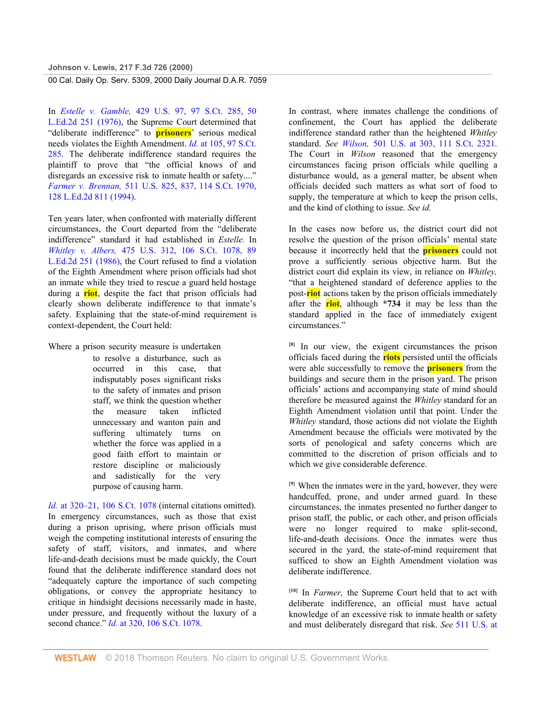In *Estelle v. Gamble,* 429 U.S. 97, 97 S.Ct. 285, 50 L.Ed.2d 251 (1976), the Supreme Court determined that "deliberate indifference" to **prisoners**' serious medical needs violates the Eighth Amendment. *Id.* at 105, 97 S.Ct. 285. The deliberate indifference standard requires the plaintiff to prove that "the official knows of and disregards an excessive risk to inmate health or safety...." *Farmer v. Brennan,* 511 U.S. 825, 837, 114 S.Ct. 1970, 128 L.Ed.2d 811 (1994).

Ten years later, when confronted with materially different circumstances, the Court departed from the "deliberate indifference" standard it had established in *Estelle.* In *Whitley v. Albers,* 475 U.S. 312, 106 S.Ct. 1078, 89 L.Ed.2d 251 (1986), the Court refused to find a violation of the Eighth Amendment where prison officials had shot an inmate while they tried to rescue a guard held hostage during a **riot**, despite the fact that prison officials had clearly shown deliberate indifference to that inmate's safety. Explaining that the state-of-mind requirement is context-dependent, the Court held:

Where a prison security measure is undertaken to resolve a disturbance, such as occurred in this case, that indisputably poses significant risks to the safety of inmates and prison staff, we think the question whether the measure taken inflicted unnecessary and wanton pain and suffering ultimately turns on whether the force was applied in a good faith effort to maintain or restore discipline or maliciously and sadistically for the very purpose of causing harm.

*Id.* at 320–21, 106 S.Ct. 1078 (internal citations omitted). In emergency circumstances, such as those that exist during a prison uprising, where prison officials must weigh the competing institutional interests of ensuring the safety of staff, visitors, and inmates, and where life-and-death decisions must be made quickly, the Court found that the deliberate indifference standard does not "adequately capture the importance of such competing obligations, or convey the appropriate hesitancy to critique in hindsight decisions necessarily made in haste, under pressure, and frequently without the luxury of a second chance." *Id.* at 320, 106 S.Ct. 1078.

In contrast, where inmates challenge the conditions of confinement, the Court has applied the deliberate indifference standard rather than the heightened *Whitley* standard. *See Wilson,* 501 U.S. at 303, 111 S.Ct. 2321. The Court in *Wilson* reasoned that the emergency circumstances facing prison officials while quelling a disturbance would, as a general matter, be absent when officials decided such matters as what sort of food to supply, the temperature at which to keep the prison cells, and the kind of clothing to issue. *See id.*

In the cases now before us, the district court did not resolve the question of the prison officials' mental state because it incorrectly held that the **prisoners** could not prove a sufficiently serious objective harm. But the district court did explain its view, in reliance on *Whitley,* "that a heightened standard of deference applies to the post-**riot** actions taken by the prison officials immediately after the **riot**, although **\*734** it may be less than the standard applied in the face of immediately exigent circumstances."

<span id="page-7-0"></span>**[\[8\]](#page-2-2)** In our view, the exigent circumstances the prison officials faced during the **riots** persisted until the officials were able successfully to remove the **prisoners** from the buildings and secure them in the prison yard. The prison officials' actions and accompanying state of mind should therefore be measured against the *Whitley* standard for an Eighth Amendment violation until that point. Under the *Whitley* standard, those actions did not violate the Eighth Amendment because the officials were motivated by the sorts of penological and safety concerns which are committed to the discretion of prison officials and to which we give considerable deference.

<span id="page-7-1"></span>**[\[9\]](#page-2-3)** When the inmates were in the yard, however, they were handcuffed, prone, and under armed guard. In these circumstances, the inmates presented no further danger to prison staff, the public, or each other, and prison officials were no longer required to make split-second, life-and-death decisions. Once the inmates were thus secured in the yard, the state-of-mind requirement that sufficed to show an Eighth Amendment violation was deliberate indifference.

<span id="page-7-2"></span>**[\[10\]](#page-2-4)** In *Farmer,* the Supreme Court held that to act with deliberate indifference, an official must have actual knowledge of an excessive risk to inmate health or safety and must deliberately disregard that risk. *See* 511 U.S. at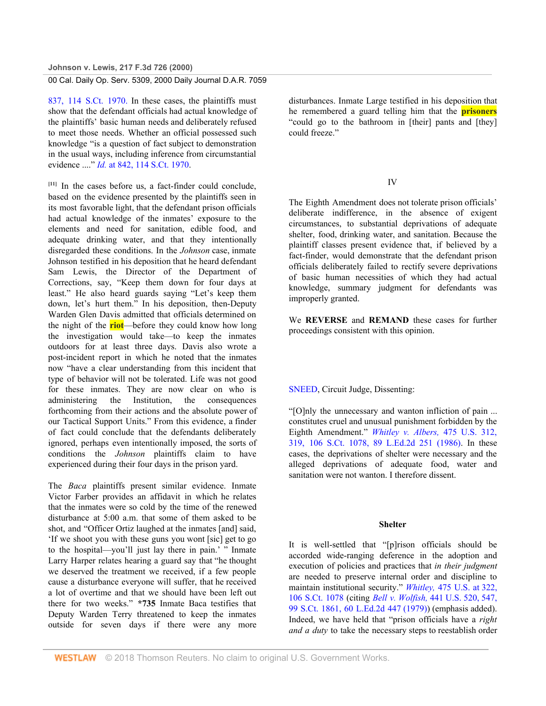837, 114 S.Ct. 1970. In these cases, the plaintiffs must show that the defendant officials had actual knowledge of the plaintiffs' basic human needs and deliberately refused to meet those needs. Whether an official possessed such knowledge "is a question of fact subject to demonstration in the usual ways, including inference from circumstantial evidence ...." *Id.* at 842, 114 S.Ct. 1970.

<span id="page-8-0"></span>**[\[11\]](#page-3-0)** In the cases before us, a fact-finder could conclude, based on the evidence presented by the plaintiffs seen in its most favorable light, that the defendant prison officials had actual knowledge of the inmates' exposure to the elements and need for sanitation, edible food, and adequate drinking water, and that they intentionally disregarded these conditions. In the *Johnson* case, inmate Johnson testified in his deposition that he heard defendant Sam Lewis, the Director of the Department of Corrections, say, "Keep them down for four days at least." He also heard guards saying "Let's keep them down, let's hurt them." In his deposition, then-Deputy Warden Glen Davis admitted that officials determined on the night of the **riot**—before they could know how long the investigation would take—to keep the inmates outdoors for at least three days. Davis also wrote a post-incident report in which he noted that the inmates now "have a clear understanding from this incident that type of behavior will not be tolerated. Life was not good for these inmates. They are now clear on who is administering the Institution, the consequences forthcoming from their actions and the absolute power of our Tactical Support Units." From this evidence, a finder of fact could conclude that the defendants deliberately ignored, perhaps even intentionally imposed, the sorts of conditions the *Johnson* plaintiffs claim to have experienced during their four days in the prison yard.

The *Baca* plaintiffs present similar evidence. Inmate Victor Farber provides an affidavit in which he relates that the inmates were so cold by the time of the renewed disturbance at 5:00 a.m. that some of them asked to be shot, and "Officer Ortiz laughed at the inmates [and] said, 'If we shoot you with these guns you wont [sic] get to go to the hospital—you'll just lay there in pain.' " Inmate Larry Harper relates hearing a guard say that "he thought we deserved the treatment we received, if a few people cause a disturbance everyone will suffer, that he received a lot of overtime and that we should have been left out there for two weeks." **\*735** Inmate Baca testifies that Deputy Warden Terry threatened to keep the inmates outside for seven days if there were any more disturbances. Inmate Large testified in his deposition that he remembered a guard telling him that the **prisoners** "could go to the bathroom in [their] pants and [they] could freeze."

### IV

The Eighth Amendment does not tolerate prison officials' deliberate indifference, in the absence of exigent circumstances, to substantial deprivations of adequate shelter, food, drinking water, and sanitation. Because the plaintiff classes present evidence that, if believed by a fact-finder, would demonstrate that the defendant prison officials deliberately failed to rectify severe deprivations of basic human necessities of which they had actual knowledge, summary judgment for defendants was improperly granted.

We **REVERSE** and **REMAND** these cases for further proceedings consistent with this opinion.

### SNEED, Circuit Judge, Dissenting:

"[O]nly the unnecessary and wanton infliction of pain ... constitutes cruel and unusual punishment forbidden by the Eighth Amendment." *Whitley v. Albers,* 475 U.S. 312, 319, 106 S.Ct. 1078, 89 L.Ed.2d 251 (1986). In these cases, the deprivations of shelter were necessary and the alleged deprivations of adequate food, water and sanitation were not wanton. I therefore dissent.

#### **Shelter**

It is well-settled that "[p]rison officials should be accorded wide-ranging deference in the adoption and execution of policies and practices that *in their judgment* are needed to preserve internal order and discipline to maintain institutional security." *Whitley,* 475 U.S. at 322, 106 S.Ct. 1078 (citing *Bell v. Wolfish,* 441 U.S. 520, 547, 99 S.Ct. 1861, 60 L.Ed.2d 447 (1979)) (emphasis added). Indeed, we have held that "prison officials have a *right and a duty* to take the necessary steps to reestablish order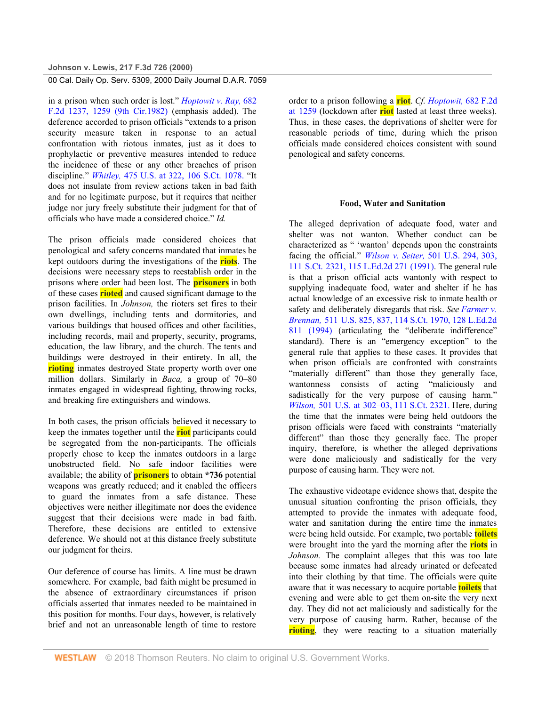in a prison when such order is lost." *Hoptowit v. Ray,* 682 F.2d 1237, 1259 (9th Cir.1982) (emphasis added). The deference accorded to prison officials "extends to a prison security measure taken in response to an actual confrontation with riotous inmates, just as it does to prophylactic or preventive measures intended to reduce the incidence of these or any other breaches of prison discipline." *Whitley,* 475 U.S. at 322, 106 S.Ct. 1078. "It does not insulate from review actions taken in bad faith and for no legitimate purpose, but it requires that neither judge nor jury freely substitute their judgment for that of officials who have made a considered choice." *Id.*

The prison officials made considered choices that penological and safety concerns mandated that inmates be kept outdoors during the investigations of the **riots**. The decisions were necessary steps to reestablish order in the prisons where order had been lost. The **prisoners** in both of these cases **rioted** and caused significant damage to the prison facilities. In *Johnson,* the rioters set fires to their own dwellings, including tents and dormitories, and various buildings that housed offices and other facilities, including records, mail and property, security, programs, education, the law library, and the church. The tents and buildings were destroyed in their entirety. In all, the **rioting** inmates destroyed State property worth over one million dollars. Similarly in *Baca,* a group of 70–80 inmates engaged in widespread fighting, throwing rocks, and breaking fire extinguishers and windows.

In both cases, the prison officials believed it necessary to keep the inmates together until the **riot** participants could be segregated from the non-participants. The officials properly chose to keep the inmates outdoors in a large unobstructed field. No safe indoor facilities were available; the ability of **prisoners** to obtain **\*736** potential weapons was greatly reduced; and it enabled the officers to guard the inmates from a safe distance. These objectives were neither illegitimate nor does the evidence suggest that their decisions were made in bad faith. Therefore, these decisions are entitled to extensive deference. We should not at this distance freely substitute our judgment for theirs.

Our deference of course has limits. A line must be drawn somewhere. For example, bad faith might be presumed in the absence of extraordinary circumstances if prison officials asserted that inmates needed to be maintained in this position for months. Four days, however, is relatively brief and not an unreasonable length of time to restore

order to a prison following a **riot**. *Cf. Hoptowit,* 682 F.2d at 1259 (lockdown after **riot** lasted at least three weeks). Thus, in these cases, the deprivations of shelter were for reasonable periods of time, during which the prison officials made considered choices consistent with sound penological and safety concerns.

#### **Food, Water and Sanitation**

The alleged deprivation of adequate food, water and shelter was not wanton. Whether conduct can be characterized as " 'wanton' depends upon the constraints facing the official." *Wilson v. Seiter,* 501 U.S. 294, 303, 111 S.Ct. 2321, 115 L.Ed.2d 271 (1991). The general rule is that a prison official acts wantonly with respect to supplying inadequate food, water and shelter if he has actual knowledge of an excessive risk to inmate health or safety and deliberately disregards that risk. *See Farmer v. Brennan,* 511 U.S. 825, 837, 114 S.Ct. 1970, 128 L.Ed.2d 811 (1994) (articulating the "deliberate indifference" standard). There is an "emergency exception" to the general rule that applies to these cases. It provides that when prison officials are confronted with constraints "materially different" than those they generally face, wantonness consists of acting "maliciously and sadistically for the very purpose of causing harm." *Wilson,* 501 U.S. at 302–03, 111 S.Ct. 2321. Here, during the time that the inmates were being held outdoors the prison officials were faced with constraints "materially different" than those they generally face. The proper inquiry, therefore, is whether the alleged deprivations were done maliciously and sadistically for the very purpose of causing harm. They were not.

The exhaustive videotape evidence shows that, despite the unusual situation confronting the prison officials, they attempted to provide the inmates with adequate food, water and sanitation during the entire time the inmates were being held outside. For example, two portable **toilets** were brought into the yard the morning after the **riots** in *Johnson.* The complaint alleges that this was too late because some inmates had already urinated or defecated into their clothing by that time. The officials were quite aware that it was necessary to acquire portable **toilets** that evening and were able to get them on-site the very next day. They did not act maliciously and sadistically for the very purpose of causing harm. Rather, because of the **rioting**, they were reacting to a situation materially